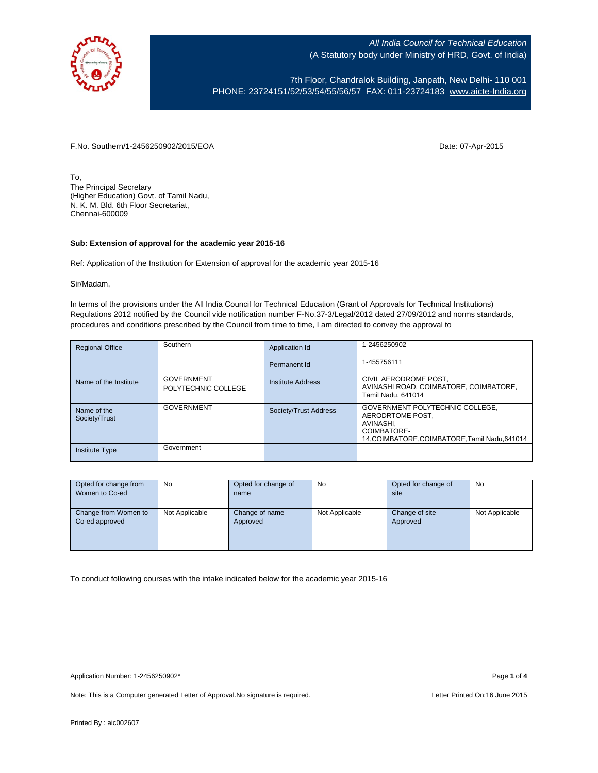

7th Floor, Chandralok Building, Janpath, New Delhi- 110 001 PHONE: 23724151/52/53/54/55/56/57 FAX: 011-23724183 [www.aicte-India.org](http://www.aicte-india.org/)

F.No. Southern/1-2456250902/2015/EOA Date: 07-Apr-2015

To, The Principal Secretary (Higher Education) Govt. of Tamil Nadu, N. K. M. Bld. 6th Floor Secretariat, Chennai-600009

## **Sub: Extension of approval for the academic year 2015-16**

Ref: Application of the Institution for Extension of approval for the academic year 2015-16

Sir/Madam,

In terms of the provisions under the All India Council for Technical Education (Grant of Approvals for Technical Institutions) Regulations 2012 notified by the Council vide notification number F-No.37-3/Legal/2012 dated 27/09/2012 and norms standards, procedures and conditions prescribed by the Council from time to time, I am directed to convey the approval to

| <b>Regional Office</b>       | Southern                                 | Application Id        | 1-2456250902                                                                                                                  |
|------------------------------|------------------------------------------|-----------------------|-------------------------------------------------------------------------------------------------------------------------------|
|                              |                                          | Permanent Id          | 1-455756111                                                                                                                   |
| Name of the Institute        | <b>GOVERNMENT</b><br>POLYTECHNIC COLLEGE | Institute Address     | CIVIL AERODROME POST.<br>AVINASHI ROAD, COIMBATORE, COIMBATORE,<br>Tamil Nadu, 641014                                         |
| Name of the<br>Society/Trust | <b>GOVERNMENT</b>                        | Society/Trust Address | GOVERNMENT POLYTECHNIC COLLEGE,<br>AERODRTOME POST.<br>AVINASHI.<br>COIMBATORE-<br>14.COIMBATORE.COIMBATORE.Tamil Nadu.641014 |
| <b>Institute Type</b>        | Government                               |                       |                                                                                                                               |

| Opted for change from | No.            | Opted for change of | No             | Opted for change of | No             |
|-----------------------|----------------|---------------------|----------------|---------------------|----------------|
| Women to Co-ed        |                | name                |                | site                |                |
|                       |                |                     |                |                     |                |
| Change from Women to  | Not Applicable | Change of name      | Not Applicable | Change of site      | Not Applicable |
| Co-ed approved        |                | Approved            |                | Approved            |                |
|                       |                |                     |                |                     |                |
|                       |                |                     |                |                     |                |
|                       |                |                     |                |                     |                |

To conduct following courses with the intake indicated below for the academic year 2015-16

Note: This is a Computer generated Letter of Approval. No signature is required. Letter Printed On:16 June 2015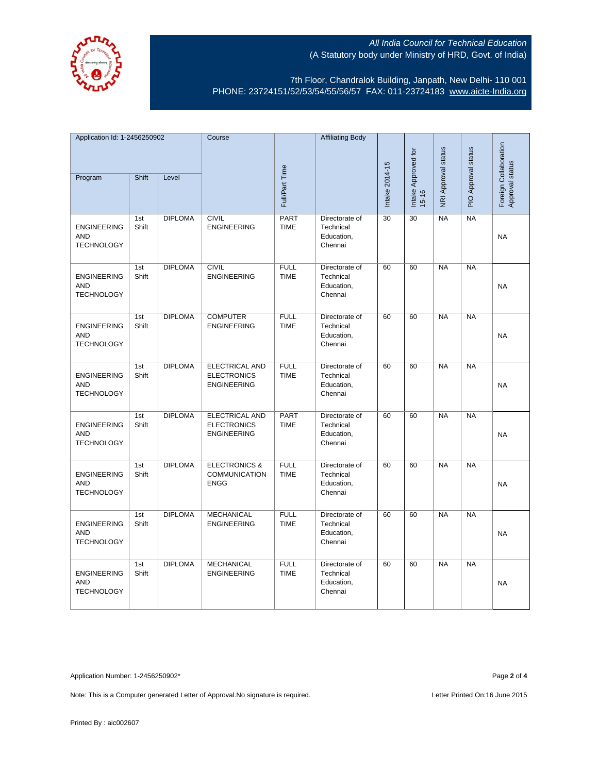

7th Floor, Chandralok Building, Janpath, New Delhi- 110 001 PHONE: 23724151/52/53/54/55/56/57 FAX: 011-23724183 [www.aicte-India.org](http://www.aicte-india.org/)

| Application Id: 1-2456250902                          |              | Course         |                                                                   | <b>Affiliating Body</b>    |                                                      |                |                                  |                     |                     |                                          |
|-------------------------------------------------------|--------------|----------------|-------------------------------------------------------------------|----------------------------|------------------------------------------------------|----------------|----------------------------------|---------------------|---------------------|------------------------------------------|
| Program                                               | Shift        | Level          |                                                                   | Full/Part Time             |                                                      | Intake 2014-15 | Intake Approved for<br>$15 - 16$ | NRI Approval status | PIO Approval status | Foreign Collaboration<br>Approval status |
|                                                       | 1st          | <b>DIPLOMA</b> | <b>CIVIL</b>                                                      | <b>PART</b>                | Directorate of                                       | 30             | 30                               | <b>NA</b>           | <b>NA</b>           |                                          |
| <b>ENGINEERING</b><br>AND<br><b>TECHNOLOGY</b>        | Shift        |                | <b>ENGINEERING</b>                                                | <b>TIME</b>                | Technical<br>Education,<br>Chennai                   |                |                                  |                     |                     | <b>NA</b>                                |
| <b>ENGINEERING</b><br><b>AND</b><br><b>TECHNOLOGY</b> | 1st<br>Shift | <b>DIPLOMA</b> | <b>CIVIL</b><br><b>ENGINEERING</b>                                | <b>FULL</b><br><b>TIME</b> | Directorate of<br>Technical<br>Education,<br>Chennai | 60             | 60                               | NA                  | NA                  | <b>NA</b>                                |
| <b>ENGINEERING</b><br>AND<br><b>TECHNOLOGY</b>        | 1st<br>Shift | <b>DIPLOMA</b> | <b>COMPUTER</b><br><b>ENGINEERING</b>                             | <b>FULL</b><br><b>TIME</b> | Directorate of<br>Technical<br>Education,<br>Chennai | 60             | 60                               | <b>NA</b>           | <b>NA</b>           | <b>NA</b>                                |
| <b>ENGINEERING</b><br>AND<br><b>TECHNOLOGY</b>        | 1st<br>Shift | <b>DIPLOMA</b> | ELECTRICAL AND<br><b>ELECTRONICS</b><br><b>ENGINEERING</b>        | <b>FULL</b><br><b>TIME</b> | Directorate of<br>Technical<br>Education,<br>Chennai | 60             | 60                               | <b>NA</b>           | <b>NA</b>           | <b>NA</b>                                |
| <b>ENGINEERING</b><br><b>AND</b><br><b>TECHNOLOGY</b> | 1st<br>Shift | <b>DIPLOMA</b> | <b>ELECTRICAL AND</b><br><b>ELECTRONICS</b><br><b>ENGINEERING</b> | <b>PART</b><br><b>TIME</b> | Directorate of<br>Technical<br>Education,<br>Chennai | 60             | 60                               | <b>NA</b>           | NA                  | <b>NA</b>                                |
| <b>ENGINEERING</b><br><b>AND</b><br><b>TECHNOLOGY</b> | 1st<br>Shift | <b>DIPLOMA</b> | <b>ELECTRONICS &amp;</b><br><b>COMMUNICATION</b><br><b>ENGG</b>   | <b>FULL</b><br><b>TIME</b> | Directorate of<br>Technical<br>Education,<br>Chennai | 60             | 60                               | <b>NA</b>           | NA                  | <b>NA</b>                                |
| <b>ENGINEERING</b><br><b>AND</b><br><b>TECHNOLOGY</b> | 1st<br>Shift | <b>DIPLOMA</b> | <b>MECHANICAL</b><br><b>ENGINEERING</b>                           | <b>FULL</b><br><b>TIME</b> | Directorate of<br>Technical<br>Education,<br>Chennai | 60             | 60                               | <b>NA</b>           | <b>NA</b>           | NA                                       |
| <b>ENGINEERING</b><br><b>AND</b><br><b>TECHNOLOGY</b> | 1st<br>Shift | <b>DIPLOMA</b> | <b>MECHANICAL</b><br><b>ENGINEERING</b>                           | <b>FULL</b><br><b>TIME</b> | Directorate of<br>Technical<br>Education,<br>Chennai | 60             | 60                               | NA                  | NA                  | <b>NA</b>                                |

Application Number: 1-2456250902\* Page **2** of **4**

Note: This is a Computer generated Letter of Approval.No signature is required. Letter Printed On:16 June 2015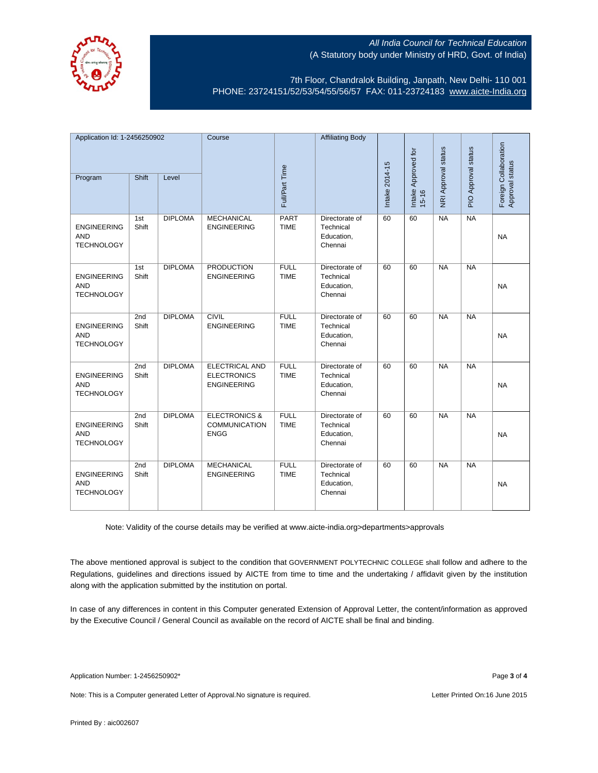

7th Floor, Chandralok Building, Janpath, New Delhi- 110 001 PHONE: 23724151/52/53/54/55/56/57 FAX: 011-23724183 [www.aicte-India.org](http://www.aicte-india.org/)

| Application Id: 1-2456250902                          |              | Course         |                                                                   | <b>Affiliating Body</b>    |                                                      |                |                                  |                     |                     |                                          |
|-------------------------------------------------------|--------------|----------------|-------------------------------------------------------------------|----------------------------|------------------------------------------------------|----------------|----------------------------------|---------------------|---------------------|------------------------------------------|
| Program                                               | Shift        | Level          |                                                                   | Full/Part Time             |                                                      | Intake 2014-15 | Intake Approved for<br>$15 - 16$ | NRI Approval status | PIO Approval status | Foreign Collaboration<br>Approval status |
| <b>ENGINEERING</b><br><b>AND</b><br><b>TECHNOLOGY</b> | 1st<br>Shift | <b>DIPLOMA</b> | <b>MECHANICAL</b><br><b>ENGINEERING</b>                           | <b>PART</b><br><b>TIME</b> | Directorate of<br>Technical<br>Education,<br>Chennai | 60             | 60                               | NA                  | NA                  | <b>NA</b>                                |
| <b>ENGINEERING</b><br><b>AND</b><br><b>TECHNOLOGY</b> | 1st<br>Shift | <b>DIPLOMA</b> | <b>PRODUCTION</b><br><b>ENGINEERING</b>                           | <b>FULL</b><br><b>TIME</b> | Directorate of<br>Technical<br>Education,<br>Chennai | 60             | 60                               | <b>NA</b>           | NA                  | <b>NA</b>                                |
| <b>ENGINEERING</b><br><b>AND</b><br><b>TECHNOLOGY</b> | 2nd<br>Shift | <b>DIPLOMA</b> | <b>CIVIL</b><br><b>ENGINEERING</b>                                | <b>FULL</b><br><b>TIME</b> | Directorate of<br>Technical<br>Education,<br>Chennai | 60             | 60                               | NA                  | NA                  | <b>NA</b>                                |
| <b>ENGINEERING</b><br><b>AND</b><br><b>TECHNOLOGY</b> | 2nd<br>Shift | <b>DIPLOMA</b> | <b>ELECTRICAL AND</b><br><b>ELECTRONICS</b><br><b>ENGINEERING</b> | <b>FULL</b><br><b>TIME</b> | Directorate of<br>Technical<br>Education,<br>Chennai | 60             | 60                               | <b>NA</b>           | NA                  | <b>NA</b>                                |
| <b>ENGINEERING</b><br><b>AND</b><br><b>TECHNOLOGY</b> | 2nd<br>Shift | <b>DIPLOMA</b> | <b>ELECTRONICS &amp;</b><br><b>COMMUNICATION</b><br><b>ENGG</b>   | <b>FULL</b><br><b>TIME</b> | Directorate of<br>Technical<br>Education,<br>Chennai | 60             | 60                               | NA                  | NA                  | <b>NA</b>                                |
| <b>ENGINEERING</b><br><b>AND</b><br><b>TECHNOLOGY</b> | 2nd<br>Shift | <b>DIPLOMA</b> | <b>MECHANICAL</b><br><b>ENGINEERING</b>                           | <b>FULL</b><br><b>TIME</b> | Directorate of<br>Technical<br>Education,<br>Chennai | 60             | 60                               | NA                  | NA                  | <b>NA</b>                                |

Note: Validity of the course details may be verified at www.aicte-india.org>departments>approvals

The above mentioned approval is subject to the condition that GOVERNMENT POLYTECHNIC COLLEGE shall follow and adhere to the Regulations, guidelines and directions issued by AICTE from time to time and the undertaking / affidavit given by the institution along with the application submitted by the institution on portal.

In case of any differences in content in this Computer generated Extension of Approval Letter, the content/information as approved by the Executive Council / General Council as available on the record of AICTE shall be final and binding.

Note: This is a Computer generated Letter of Approval.No signature is required. Letter Printed On:16 June 2015